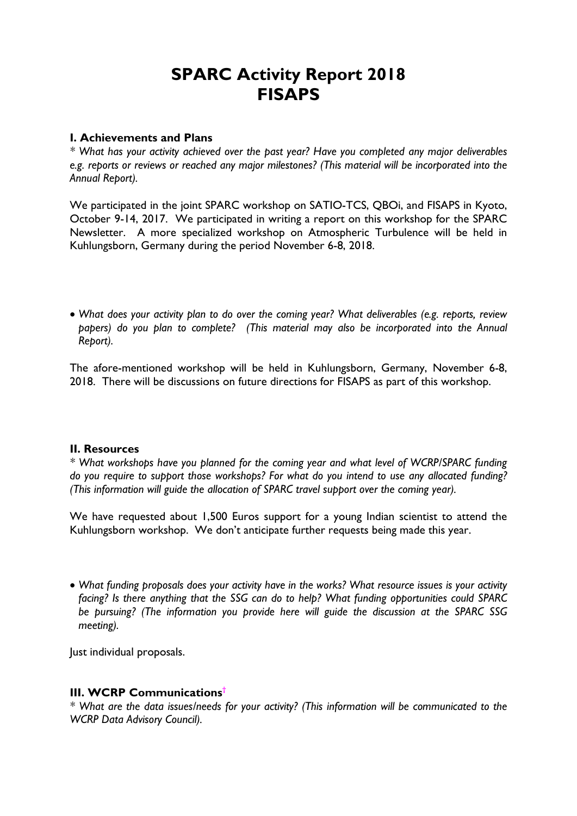# SPARC Activity Report 2018 **FISAPS**

### I. Achievements and Plans

*\* What has your activity achieved over the past year? Have you completed any major deliverables e.g. reports or reviews or reached any major milestones? (This material will be incorporated into the Annual Report).*

We participated in the joint SPARC workshop on SATIO-TCS, QBOi, and FISAPS in Kyoto, October 9-14, 2017. We participated in writing a report on this workshop for the SPARC Newsletter. A more specialized workshop on Atmospheric Turbulence will be held in Kuhlungsborn, Germany during the period November 6-8, 2018.

 *What does your activity plan to do over the coming year? What deliverables (e.g. reports, review papers) do you plan to complete? (This material may also be incorporated into the Annual Report).*

The afore-mentioned workshop will be held in Kuhlungsborn, Germany, November 6-8, 2018. There will be discussions on future directions for FISAPS as part of this workshop.

#### II. Resources

*\* What workshops have you planned for the coming year and what level of WCRP/SPARC funding do you require to support those workshops? For what do you intend to use any allocated funding? (This information will guide the allocation of SPARC travel support over the coming year).*

We have requested about 1,500 Euros support for a young Indian scientist to attend the Kuhlungsborn workshop. We don't anticipate further requests being made this year.

 *What funding proposals does your activity have in the works? What resource issues is your activity facing? Is there anything that the SSG can do to help? What funding opportunities could SPARC be pursuing? (The information you provide here will guide the discussion at the SPARC SSG meeting).*

Just individual proposals.

## III. WCRP Communications†

*\* What are the data issues/needs for your activity? (This information will be communicated to the WCRP Data Advisory Council).*